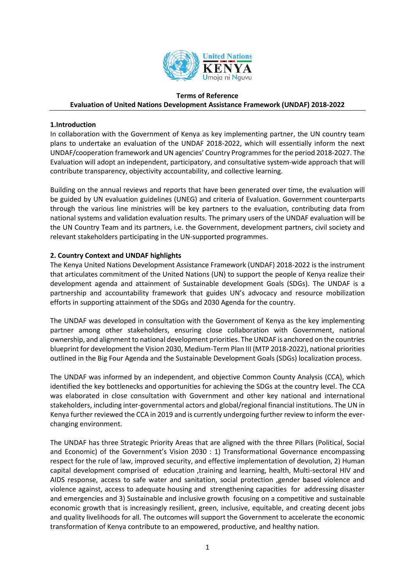

#### **Terms of Reference**

# **Evaluation of United Nations Development Assistance Framework (UNDAF) 2018-2022**

#### **1.Introduction**

In collaboration with the Government of Kenya as key implementing partner, the UN country team plans to undertake an evaluation of the UNDAF 2018-2022, which will essentially inform the next UNDAF/cooperation framework and UN agencies' Country Programmesfor the period 2018-2027. The Evaluation will adopt an independent, participatory, and consultative system-wide approach that will contribute transparency, objectivity accountability, and collective learning.

Building on the annual reviews and reports that have been generated over time, the evaluation will be guided by UN evaluation guidelines (UNEG) and criteria of Evaluation. Government counterparts through the various line ministries will be key partners to the evaluation, contributing data from national systems and validation evaluation results. The primary users of the UNDAF evaluation will be the UN Country Team and its partners, i.e. the Government, development partners, civil society and relevant stakeholders participating in the UN-supported programmes.

# **2. Country Context and UNDAF highlights**

The Kenya United Nations Development Assistance Framework (UNDAF) 2018-2022 is the instrument that articulates commitment of the United Nations (UN) to support the people of Kenya realize their development agenda and attainment of Sustainable development Goals (SDGs). The UNDAF is a partnership and accountability framework that guides UN's advocacy and resource mobilization efforts in supporting attainment of the SDGs and 2030 Agenda for the country.

The UNDAF was developed in consultation with the Government of Kenya as the key implementing partner among other stakeholders, ensuring close collaboration with Government, national ownership, and alignment to national development priorities. The UNDAF is anchored on the countries blueprint for development the Vision 2030, Medium-Term Plan III (MTP 2018-2022), national priorities outlined in the Big Four Agenda and the Sustainable Development Goals (SDGs) localization process.

The UNDAF was informed by an independent, and objective Common County Analysis (CCA), which identified the key bottlenecks and opportunities for achieving the SDGs at the country level. The CCA was elaborated in close consultation with Government and other key national and international stakeholders, including inter-governmental actors and global/regional financial institutions. The UN in Kenya further reviewed the CCA in 2019 and is currently undergoing further review to inform the everchanging environment.

The UNDAF has three Strategic Priority Areas that are aligned with the three Pillars (Political, Social and Economic) of the Government's Vision 2030 : 1) Transformational Governance encompassing respect for the rule of law, improved security, and effective implementation of devolution, 2) Human capital development comprised of education ,training and learning, health, Multi-sectoral HIV and AIDS response, access to safe water and sanitation, social protection ,gender based violence and violence against, access to adequate housing and strengthening capacities for addressing disaster and emergencies and 3) Sustainable and inclusive growth focusing on a competitive and sustainable economic growth that is increasingly resilient, green, inclusive, equitable, and creating decent jobs and quality livelihoods for all. The outcomes will support the Government to accelerate the economic transformation of Kenya contribute to an empowered, productive, and healthy nation.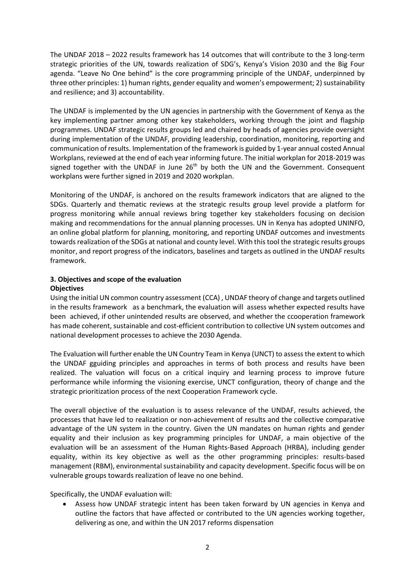The UNDAF 2018 – 2022 results framework has 14 outcomes that will contribute to the 3 long-term strategic priorities of the UN, towards realization of SDG's, Kenya's Vision 2030 and the Big Four agenda. "Leave No One behind" is the core programming principle of the UNDAF, underpinned by three other principles: 1) human rights, gender equality and women's empowerment; 2) sustainability and resilience; and 3) accountability.

The UNDAF is implemented by the UN agencies in partnership with the Government of Kenya as the key implementing partner among other key stakeholders, working through the joint and flagship programmes. UNDAF strategic results groups led and chaired by heads of agencies provide oversight during implementation of the UNDAF, providing leadership, coordination, monitoring, reporting and communication of results. Implementation of the framework is guided by 1-year annual costed Annual Workplans, reviewed at the end of each year informing future. The initial workplan for 2018-2019 was signed together with the UNDAF in June 26<sup>th</sup> by both the UN and the Government. Consequent workplans were further signed in 2019 and 2020 workplan.

Monitoring of the UNDAF, is anchored on the results framework indicators that are aligned to the SDGs. Quarterly and thematic reviews at the strategic results group level provide a platform for progress monitoring while annual reviews bring together key stakeholders focusing on decision making and recommendations for the annual planning processes. UN in Kenya has adopted UNINFO, an online global platform for planning, monitoring, and reporting UNDAF outcomes and investments towards realization of the SDGs at national and county level. With this tool the strategic results groups monitor, and report progress of the indicators, baselines and targets as outlined in the UNDAF results framework.

# **3. Objectives and scope of the evaluation Objectives**

Using the initial UN common country assessment (CCA) , UNDAF theory of change and targets outlined in the results framework as a benchmark, the evaluation will assess whether expected results have been achieved, if other unintended results are observed, and whether the ccooperation framework has made coherent, sustainable and cost-efficient contribution to collective UN system outcomes and national development processes to achieve the 2030 Agenda.

The Evaluation will further enable the UN Country Team in Kenya (UNCT) to assess the extent to which the UNDAF gguiding principles and approaches in terms of both process and results have been realized. The valuation will focus on a critical inquiry and learning process to improve future performance while informing the visioning exercise, UNCT configuration, theory of change and the strategic prioritization process of the next Cooperation Framework cycle.

The overall objective of the evaluation is to assess relevance of the UNDAF, results achieved, the processes that have led to realization or non-achievement of results and the collective comparative advantage of the UN system in the country. Given the UN mandates on human rights and gender equality and their inclusion as key programming principles for UNDAF, a main objective of the evaluation will be an assessment of the Human Rights-Based Approach (HRBA), including gender equality, within its key objective as well as the other programming principles: results-based management (RBM), environmental sustainability and capacity development. Specific focus will be on vulnerable groups towards realization of leave no one behind.

Specifically, the UNDAF evaluation will:

• Assess how UNDAF strategic intent has been taken forward by UN agencies in Kenya and outline the factors that have affected or contributed to the UN agencies working together, delivering as one, and within the UN 2017 reforms dispensation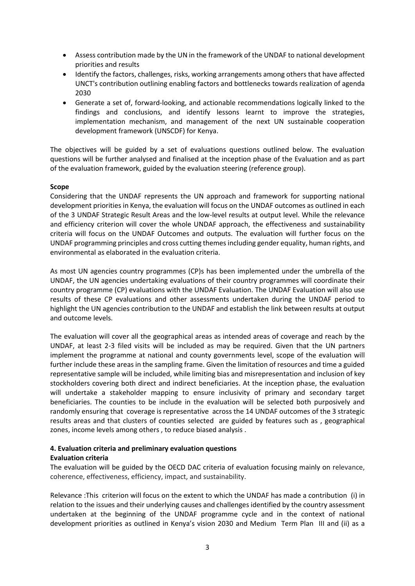- Assess contribution made by the UN in the framework of the UNDAF to national development priorities and results
- Identify the factors, challenges, risks, working arrangements among others that have affected UNCT's contribution outlining enabling factors and bottlenecks towards realization of agenda 2030
- Generate a set of, forward-looking, and actionable recommendations logically linked to the findings and conclusions, and identify lessons learnt to improve the strategies, implementation mechanism, and management of the next UN sustainable cooperation development framework (UNSCDF) for Kenya.

The objectives will be guided by a set of evaluations questions outlined below. The evaluation questions will be further analysed and finalised at the inception phase of the Evaluation and as part of the evaluation framework, guided by the evaluation steering (reference group).

# **Scope**

Considering that the UNDAF represents the UN approach and framework for supporting national development priorities in Kenya, the evaluation will focus on the UNDAF outcomes as outlined in each of the 3 UNDAF Strategic Result Areas and the low-level results at output level. While the relevance and efficiency criterion will cover the whole UNDAF approach, the effectiveness and sustainability criteria will focus on the UNDAF Outcomes and outputs. The evaluation will further focus on the UNDAF programming principles and cross cutting themes including gender equality, human rights, and environmental as elaborated in the evaluation criteria.

As most UN agencies country programmes (CP)s has been implemented under the umbrella of the UNDAF, the UN agencies undertaking evaluations of their country programmes will coordinate their country programme (CP) evaluations with the UNDAF Evaluation. The UNDAF Evaluation will also use results of these CP evaluations and other assessments undertaken during the UNDAF period to highlight the UN agencies contribution to the UNDAF and establish the link between results at output and outcome levels.

The evaluation will cover all the geographical areas as intended areas of coverage and reach by the UNDAF, at least 2-3 filed visits will be included as may be required. Given that the UN partners implement the programme at national and county governments level, scope of the evaluation will further include these areas in the sampling frame. Given the limitation of resources and time a guided representative sample will be included, while limiting bias and misrepresentation and inclusion of key stockholders covering both direct and indirect beneficiaries. At the inception phase, the evaluation will undertake a stakeholder mapping to ensure inclusivity of primary and secondary target beneficiaries. The counties to be include in the evaluation will be selected both purposively and randomly ensuring that coverage is representative across the 14 UNDAF outcomes of the 3 strategic results areas and that clusters of counties selected are guided by features such as , geographical zones, income levels among others , to reduce biased analysis .

#### **4. Evaluation criteria and preliminary evaluation questions Evaluation criteria**

The evaluation will be guided by the OECD DAC criteria of evaluation focusing mainly on relevance, coherence, effectiveness, efficiency, impact, and sustainability.

Relevance :This criterion will focus on the extent to which the UNDAF has made a contribution (i) in relation to the issues and their underlying causes and challenges identified by the country assessment undertaken at the beginning of the UNDAF programme cycle and in the context of national development priorities as outlined in Kenya's vision 2030 and Medium Term Plan III and (ii) as a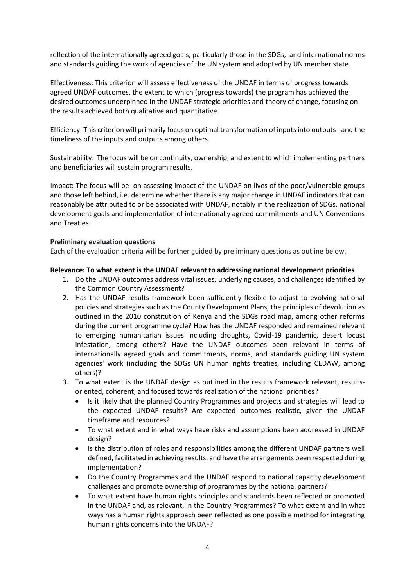reflection of the internationally agreed goals, particularly those in the SDGs, and international norms and standards guiding the work of agencies of the UN system and adopted by UN member state.

Effectiveness: This criterion will assess effectiveness of the UNDAF in terms of progress towards agreed UNDAF outcomes, the extent to which (progress towards) the program has achieved the desired outcomes underpinned in the UNDAF strategic priorities and theory of change, focusing on the results achieved both qualitative and quantitative.

Efficiency: This criterion will primarily focus on optimal transformation of inputs into outputs - and the timeliness of the inputs and outputs among others.

Sustainability: The focus will be on continuity, ownership, and extent to which implementing partners and beneficiaries will sustain program results.

Impact: The focus will be on assessing impact of the UNDAF on lives of the poor/vulnerable groups and those left behind, i.e. determine whether there is any major change in UNDAF indicators that can reasonably be attributed to or be associated with UNDAF, notably in the realization of SDGs, national development goals and implementation of internationally agreed commitments and UN Conventions and Treaties.

#### **Preliminary evaluation questions**

Each of the evaluation criteria will be further guided by preliminary questions as outline below.

#### **Relevance: To what extent is the UNDAF relevant to addressing national development priorities**

- 1. Do the UNDAF outcomes address vital issues, underlying causes, and challenges identified by the Common Country Assessment?
- 2. Has the UNDAF results framework been sufficiently flexible to adjust to evolving national policies and strategies such as the County Development Plans, the principles of devolution as outlined in the 2010 constitution of Kenya and the SDGs road map, among other reforms during the current programme cycle? How has the UNDAF responded and remained relevant to emerging humanitarian issues including droughts, Covid-19 pandemic, desert locust infestation, among others? Have the UNDAF outcomes been relevant in terms of internationally agreed goals and commitments, norms, and standards guiding UN system agencies' work (including the SDGs UN human rights treaties, including CEDAW, among others)?
- 3. To what extent is the UNDAF design as outlined in the results framework relevant, resultsoriented, coherent, and focused towards realization of the national priorities?
	- Is it likely that the planned Country Programmes and projects and strategies will lead to the expected UNDAF results? Are expected outcomes realistic, given the UNDAF timeframe and resources?
	- To what extent and in what ways have risks and assumptions been addressed in UNDAF design?
	- Is the distribution of roles and responsibilities among the different UNDAF partners well defined, facilitated in achieving results, and have the arrangements been respected during implementation?
	- Do the Country Programmes and the UNDAF respond to national capacity development challenges and promote ownership of programmes by the national partners?
	- To what extent have human rights principles and standards been reflected or promoted in the UNDAF and, as relevant, in the Country Programmes? To what extent and in what ways has a human rights approach been reflected as one possible method for integrating human rights concerns into the UNDAF?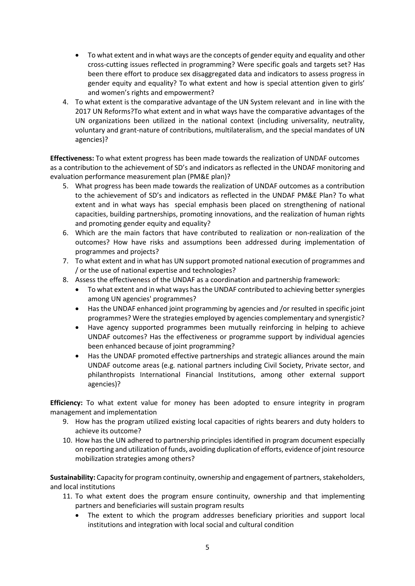- To what extent and in what ways are the concepts of gender equity and equality and other cross-cutting issues reflected in programming? Were specific goals and targets set? Has been there effort to produce sex disaggregated data and indicators to assess progress in gender equity and equality? To what extent and how is special attention given to girls' and women's rights and empowerment?
- 4. To what extent is the comparative advantage of the UN System relevant and in line with the 2017 UN Reforms?To what extent and in what ways have the comparative advantages of the UN organizations been utilized in the national context (including universality, neutrality, voluntary and grant-nature of contributions, multilateralism, and the special mandates of UN agencies)?

**Effectiveness:** To what extent progress has been made towards the realization of UNDAF outcomes as a contribution to the achievement of SD's and indicators as reflected in the UNDAF monitoring and evaluation performance measurement plan (PM&E plan)?

- 5. What progress has been made towards the realization of UNDAF outcomes as a contribution to the achievement of SD's and indicators as reflected in the UNDAF PM&E Plan? To what extent and in what ways has special emphasis been placed on strengthening of national capacities, building partnerships, promoting innovations, and the realization of human rights and promoting gender equity and equality?
- 6. Which are the main factors that have contributed to realization or non-realization of the outcomes? How have risks and assumptions been addressed during implementation of programmes and projects?
- 7. To what extent and in what has UN support promoted national execution of programmes and / or the use of national expertise and technologies?
- 8. Assess the effectiveness of the UNDAF as a coordination and partnership framework:
	- To what extent and in what ways has the UNDAF contributed to achieving better synergies among UN agencies' programmes?
	- Has the UNDAF enhanced joint programming by agencies and /or resulted in specific joint programmes? Were the strategies employed by agencies complementary and synergistic?
	- Have agency supported programmes been mutually reinforcing in helping to achieve UNDAF outcomes? Has the effectiveness or programme support by individual agencies been enhanced because of joint programming?
	- Has the UNDAF promoted effective partnerships and strategic alliances around the main UNDAF outcome areas (e.g. national partners including Civil Society, Private sector, and philanthropists International Financial Institutions, among other external support agencies)?

**Efficiency:** To what extent value for money has been adopted to ensure integrity in program management and implementation

- 9. How has the program utilized existing local capacities of rights bearers and duty holders to achieve its outcome?
- 10. How has the UN adhered to partnership principles identified in program document especially on reporting and utilization of funds, avoiding duplication of efforts, evidence of joint resource mobilization strategies among others?

**Sustainability:** Capacity for program continuity, ownership and engagement of partners, stakeholders, and local institutions

- 11. To what extent does the program ensure continuity, ownership and that implementing partners and beneficiaries will sustain program results
	- The extent to which the program addresses beneficiary priorities and support local institutions and integration with local social and cultural condition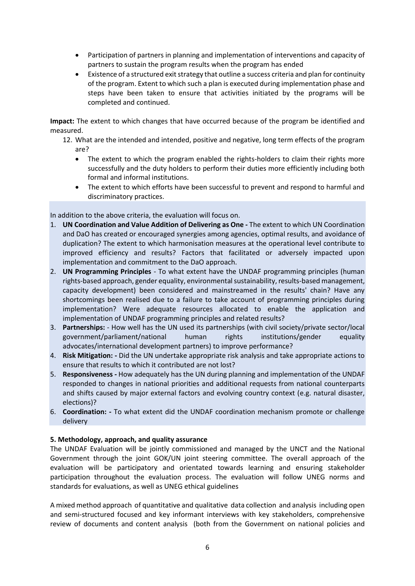- Participation of partners in planning and implementation of interventions and capacity of partners to sustain the program results when the program has ended
- Existence of a structured exit strategy that outline a success criteria and plan for continuity of the program. Extent to which such a plan is executed during implementation phase and steps have been taken to ensure that activities initiated by the programs will be completed and continued.

**Impact:** The extent to which changes that have occurred because of the program be identified and measured.

- 12. What are the intended and intended, positive and negative, long term effects of the program are?
	- The extent to which the program enabled the rights-holders to claim their rights more successfully and the duty holders to perform their duties more efficiently including both formal and informal institutions.
	- The extent to which efforts have been successful to prevent and respond to harmful and discriminatory practices.

In addition to the above criteria, the evaluation will focus on.

- 1. **UN Coordination and Value Addition of Delivering as One -** The extent to which UN Coordination and DaO has created or encouraged synergies among agencies, optimal results, and avoidance of duplication? The extent to which harmonisation measures at the operational level contribute to improved efficiency and results? Factors that facilitated or adversely impacted upon implementation and commitment to the DaO approach.
- 2. **UN Programming Principles** To what extent have the UNDAF programming principles (human rights-based approach, gender equality, environmental sustainability, results-based management, capacity development) been considered and mainstreamed in the results' chain? Have any shortcomings been realised due to a failure to take account of programming principles during implementation? Were adequate resources allocated to enable the application and implementation of UNDAF programming principles and related results?
- 3. **Partnerships:** How well has the UN used its partnerships (with civil society/private sector/local government/parliament/national human rights institutions/gender equality advocates/international development partners) to improve performance?
- 4. **Risk Mitigation: -** Did the UN undertake appropriate risk analysis and take appropriate actions to ensure that results to which it contributed are not lost?
- 5. **Responsiveness -** How adequately has the UN during planning and implementation of the UNDAF responded to changes in national priorities and additional requests from national counterparts and shifts caused by major external factors and evolving country context (e.g. natural disaster, elections)?
- 6. **Coordination: -** To what extent did the UNDAF coordination mechanism promote or challenge delivery

#### **5. Methodology, approach, and quality assurance**

The UNDAF Evaluation will be jointly commissioned and managed by the UNCT and the National Government through the joint GOK/UN joint steering committee. The overall approach of the evaluation will be participatory and orientated towards learning and ensuring stakeholder participation throughout the evaluation process. The evaluation will follow UNEG norms and standards for evaluations, as well as UNEG ethical guidelines

A mixed method approach of quantitative and qualitative data collection and analysis including open and semi-structured focused and key informant interviews with key stakeholders, comprehensive review of documents and content analysis (both from the Government on national policies and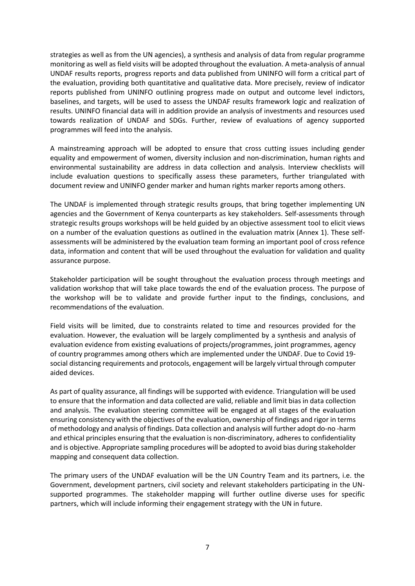strategies as well as from the UN agencies), a synthesis and analysis of data from regular programme monitoring as well as field visits will be adopted throughout the evaluation. A meta-analysis of annual UNDAF results reports, progress reports and data published from UNINFO will form a critical part of the evaluation, providing both quantitative and qualitative data. More precisely, review of indicator reports published from UNINFO outlining progress made on output and outcome level indictors, baselines, and targets, will be used to assess the UNDAF results framework logic and realization of results. UNINFO financial data will in addition provide an analysis of investments and resources used towards realization of UNDAF and SDGs. Further, review of evaluations of agency supported programmes will feed into the analysis.

A mainstreaming approach will be adopted to ensure that cross cutting issues including gender equality and empowerment of women, diversity inclusion and non-discrimination, human rights and environmental sustainability are address in data collection and analysis. Interview checklists will include evaluation questions to specifically assess these parameters, further triangulated with document review and UNINFO gender marker and human rights marker reports among others.

The UNDAF is implemented through strategic results groups, that bring together implementing UN agencies and the Government of Kenya counterparts as key stakeholders. Self-assessments through strategic results groups workshops will be held guided by an objective assessment tool to elicit views on a number of the evaluation questions as outlined in the evaluation matrix (Annex 1). These selfassessments will be administered by the evaluation team forming an important pool of cross refence data, information and content that will be used throughout the evaluation for validation and quality assurance purpose.

Stakeholder participation will be sought throughout the evaluation process through meetings and validation workshop that will take place towards the end of the evaluation process. The purpose of the workshop will be to validate and provide further input to the findings, conclusions, and recommendations of the evaluation.

Field visits will be limited, due to constraints related to time and resources provided for the evaluation. However, the evaluation will be largely complimented by a synthesis and analysis of evaluation evidence from existing evaluations of projects/programmes, joint programmes, agency of country programmes among others which are implemented under the UNDAF. Due to Covid 19 social distancing requirements and protocols, engagement will be largely virtual through computer aided devices.

As part of quality assurance, all findings will be supported with evidence. Triangulation will be used to ensure that the information and data collected are valid, reliable and limit bias in data collection and analysis. The evaluation steering committee will be engaged at all stages of the evaluation ensuring consistency with the objectives of the evaluation, ownership of findings and rigor in terms of methodology and analysis of findings. Data collection and analysis will further adopt do-no -harm and ethical principles ensuring that the evaluation is non-discriminatory, adheres to confidentiality and is objective. Appropriate sampling procedures will be adopted to avoid bias during stakeholder mapping and consequent data collection.

The primary users of the UNDAF evaluation will be the UN Country Team and its partners, i.e. the Government, development partners, civil society and relevant stakeholders participating in the UNsupported programmes. The stakeholder mapping will further outline diverse uses for specific partners, which will include informing their engagement strategy with the UN in future.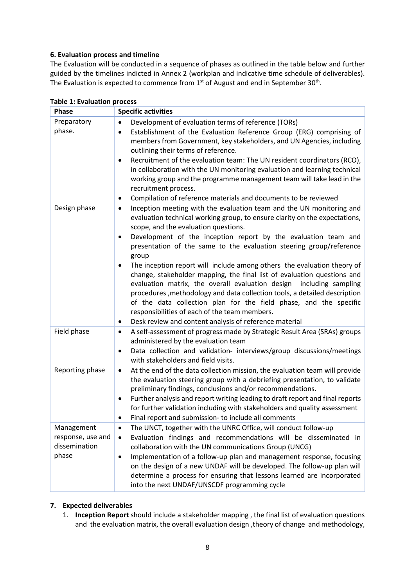# **6. Evaluation process and timeline**

The Evaluation will be conducted in a sequence of phases as outlined in the table below and further guided by the timelines indicted in Annex 2 (workplan and indicative time schedule of deliverables). The Evaluation is expected to commence from  $1<sup>st</sup>$  of August and end in September 30<sup>th</sup>.

| <b>Phase</b>                                              | <b>Specific activities</b>                                                                                                                                                                                                                                                                                                                                                                                                                                                                                                                                                                                                                                                                                                                                                                                                                             |
|-----------------------------------------------------------|--------------------------------------------------------------------------------------------------------------------------------------------------------------------------------------------------------------------------------------------------------------------------------------------------------------------------------------------------------------------------------------------------------------------------------------------------------------------------------------------------------------------------------------------------------------------------------------------------------------------------------------------------------------------------------------------------------------------------------------------------------------------------------------------------------------------------------------------------------|
| Preparatory<br>phase.                                     | Development of evaluation terms of reference (TORs)<br>Establishment of the Evaluation Reference Group (ERG) comprising of<br>٠<br>members from Government, key stakeholders, and UN Agencies, including<br>outlining their terms of reference.<br>Recruitment of the evaluation team: The UN resident coordinators (RCO),<br>$\bullet$<br>in collaboration with the UN monitoring evaluation and learning technical<br>working group and the programme management team will take lead in the<br>recruitment process.<br>Compilation of reference materials and documents to be reviewed                                                                                                                                                                                                                                                               |
| Design phase                                              | Inception meeting with the evaluation team and the UN monitoring and<br>$\bullet$<br>evaluation technical working group, to ensure clarity on the expectations,<br>scope, and the evaluation questions.<br>Development of the inception report by the evaluation team and<br>presentation of the same to the evaluation steering group/reference<br>group<br>The inception report will include among others the evaluation theory of<br>change, stakeholder mapping, the final list of evaluation questions and<br>evaluation matrix, the overall evaluation design<br>including sampling<br>procedures, methodology and data collection tools, a detailed description<br>of the data collection plan for the field phase, and the specific<br>responsibilities of each of the team members.<br>Desk review and content analysis of reference material |
| Field phase                                               | A self-assessment of progress made by Strategic Result Area (SRAs) groups<br>٠<br>administered by the evaluation team<br>Data collection and validation- interviews/group discussions/meetings<br>٠<br>with stakeholders and field visits.                                                                                                                                                                                                                                                                                                                                                                                                                                                                                                                                                                                                             |
| Reporting phase                                           | At the end of the data collection mission, the evaluation team will provide<br>$\bullet$<br>the evaluation steering group with a debriefing presentation, to validate<br>preliminary findings, conclusions and/or recommendations.<br>Further analysis and report writing leading to draft report and final reports<br>٠<br>for further validation including with stakeholders and quality assessment<br>Final report and submission- to include all comments                                                                                                                                                                                                                                                                                                                                                                                          |
| Management<br>response, use and<br>dissemination<br>phase | The UNCT, together with the UNRC Office, will conduct follow-up<br>Evaluation findings and recommendations will be disseminated in<br>$\bullet$<br>collaboration with the UN communications Group (UNCG)<br>Implementation of a follow-up plan and management response, focusing<br>$\bullet$<br>on the design of a new UNDAF will be developed. The follow-up plan will<br>determine a process for ensuring that lessons learned are incorporated<br>into the next UNDAF/UNSCDF programming cycle                                                                                                                                                                                                                                                                                                                                                     |

#### **Table 1: Evaluation process**

# **7. Expected deliverables**

1. **Inception Report** should include a stakeholder mapping , the final list of evaluation questions and the evaluation matrix, the overall evaluation design ,theory of change and methodology,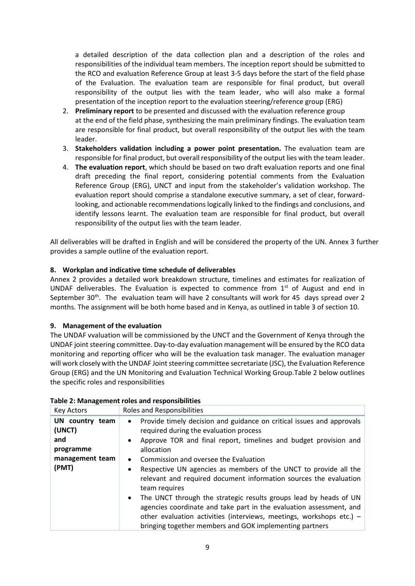a detailed description of the data collection plan and a description of the roles and responsibilities of the individual team members. The inception report should be submitted to the RCO and evaluation Reference Group at least 3-5 days before the start of the field phase of the Evaluation. The evaluation team are responsible for final product, but overall responsibility of the output lies with the team leader, who will also make a formal presentation of the inception report to the evaluation steering/reference group (ERG)

- 2. **Preliminary report** to be presented and discussed with the evaluation reference group at the end of the field phase, synthesizing the main preliminary findings. The evaluation team are responsible for final product, but overall responsibility of the output lies with the team leader.
- 3. **Stakeholders validation including a power point presentation.** The evaluation team are responsible for final product, but overall responsibility of the output lies with the team leader.
- 4. **The evaluation report**, which should be based on two draft evaluation reports and one final draft preceding the final report, considering potential comments from the Evaluation Reference Group (ERG), UNCT and input from the stakeholder's validation workshop. The evaluation report should comprise a standalone executive summary, a set of clear, forwardlooking, and actionable recommendations logically linked to the findings and conclusions, and identify lessons learnt. The evaluation team are responsible for final product, but overall responsibility of the output lies with the team leader.

All deliverables will be drafted in English and will be considered the property of the UN. Annex 3 further provides a sample outline of the evaluation report.

# **8. Workplan and indicative time schedule of deliverables**

Annex 2 provides a detailed work breakdown structure, timelines and estimates for realization of UNDAF deliverables. The Evaluation is expected to commence from  $1<sup>st</sup>$  of August and end in September 30<sup>th</sup>. The evaluation team will have 2 consultants will work for 45 days spread over 2 months. The assignment will be both home based and in Kenya, as outlined in table 3 of section 10.

#### **9. Management of the evaluation**

The UNDAF vvaluation will be commissioned by the UNCT and the Government of Kenya through the UNDAF joint steering committee. Day-to-day evaluation management will be ensured by the RCO data monitoring and reporting officer who will be the evaluation task manager. The evaluation manager will work closely with the UNDAF Joint steering committee secretariate (JSC), the Evaluation Reference Group (ERG) and the UN Monitoring and Evaluation Technical Working Group.Table 2 below outlines the specific roles and responsibilities

| Key Actors                                                                | <b>Roles and Responsibilities</b>                                                                                                                                                                                                                                                                                                                                                                                                                                                                                                                                                                                                                                                                                              |
|---------------------------------------------------------------------------|--------------------------------------------------------------------------------------------------------------------------------------------------------------------------------------------------------------------------------------------------------------------------------------------------------------------------------------------------------------------------------------------------------------------------------------------------------------------------------------------------------------------------------------------------------------------------------------------------------------------------------------------------------------------------------------------------------------------------------|
| UN country team<br>(UNCT)<br>and<br>programme<br>management team<br>(PMT) | Provide timely decision and guidance on critical issues and approvals<br>$\bullet$<br>required during the evaluation process<br>• Approve TOR and final report, timelines and budget provision and<br>allocation<br>Commission and oversee the Evaluation<br>$\bullet$<br>Respective UN agencies as members of the UNCT to provide all the<br>relevant and required document information sources the evaluation<br>team requires<br>The UNCT through the strategic results groups lead by heads of UN<br>$\bullet$<br>agencies coordinate and take part in the evaluation assessment, and<br>other evaluation activities (interviews, meetings, workshops etc.) $-$<br>bringing together members and GOK implementing partners |

#### **Table 2: Management roles and responsibilities**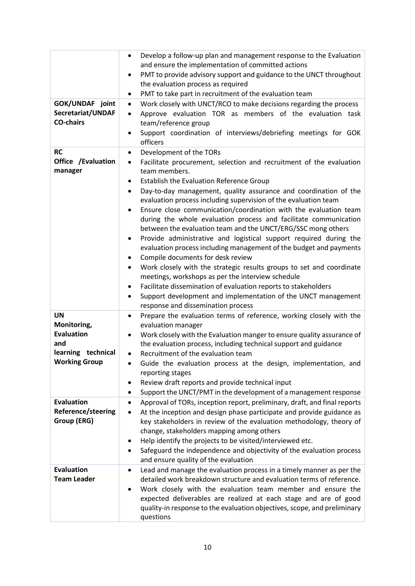| GOK/UNDAF joint<br>Secretariat/UNDAF<br><b>CO-chairs</b>                                           | Develop a follow-up plan and management response to the Evaluation<br>$\bullet$<br>and ensure the implementation of committed actions<br>PMT to provide advisory support and guidance to the UNCT throughout<br>the evaluation process as required<br>PMT to take part in recruitment of the evaluation team<br>٠<br>Work closely with UNCT/RCO to make decisions regarding the process<br>$\bullet$<br>Approve evaluation TOR as members of the evaluation task<br>$\bullet$<br>team/reference group<br>Support coordination of interviews/debriefing meetings for GOK<br>officers                                                                                                                                                                                                                                                                                                                                                                                                                                                                  |
|----------------------------------------------------------------------------------------------------|------------------------------------------------------------------------------------------------------------------------------------------------------------------------------------------------------------------------------------------------------------------------------------------------------------------------------------------------------------------------------------------------------------------------------------------------------------------------------------------------------------------------------------------------------------------------------------------------------------------------------------------------------------------------------------------------------------------------------------------------------------------------------------------------------------------------------------------------------------------------------------------------------------------------------------------------------------------------------------------------------------------------------------------------------|
| <b>RC</b><br>Office /Evaluation<br>manager                                                         | Development of the TORs<br>$\bullet$<br>Facilitate procurement, selection and recruitment of the evaluation<br>$\bullet$<br>team members.<br>Establish the Evaluation Reference Group<br>Day-to-day management, quality assurance and coordination of the<br>$\bullet$<br>evaluation process including supervision of the evaluation team<br>Ensure close communication/coordination with the evaluation team<br>during the whole evaluation process and facilitate communication<br>between the evaluation team and the UNCT/ERG/SSC mong others<br>Provide administrative and logistical support required during the<br>evaluation process including management of the budget and payments<br>Compile documents for desk review<br>Work closely with the strategic results groups to set and coordinate<br>$\bullet$<br>meetings, workshops as per the interview schedule<br>Facilitate dissemination of evaluation reports to stakeholders<br>Support development and implementation of the UNCT management<br>response and dissemination process |
| <b>UN</b><br>Monitoring,<br><b>Evaluation</b><br>and<br>learning technical<br><b>Working Group</b> | Prepare the evaluation terms of reference, working closely with the<br>٠<br>evaluation manager<br>Work closely with the Evaluation manger to ensure quality assurance of<br>the evaluation process, including technical support and guidance<br>Recruitment of the evaluation team<br>$\bullet$<br>Guide the evaluation process at the design, implementation, and<br>reporting stages<br>Review draft reports and provide technical input<br>Support the UNCT/PMT in the development of a management response                                                                                                                                                                                                                                                                                                                                                                                                                                                                                                                                       |
| <b>Evaluation</b><br>Reference/steering<br>Group (ERG)                                             | Approval of TORs, inception report, preliminary, draft, and final reports<br>At the inception and design phase participate and provide guidance as<br>$\bullet$<br>key stakeholders in review of the evaluation methodology, theory of<br>change, stakeholders mapping among others<br>Help identify the projects to be visited/interviewed etc.<br>Safeguard the independence and objectivity of the evaluation process<br>and ensure quality of the evaluation                                                                                                                                                                                                                                                                                                                                                                                                                                                                                                                                                                                     |
| <b>Evaluation</b><br><b>Team Leader</b>                                                            | Lead and manage the evaluation process in a timely manner as per the<br>٠<br>detailed work breakdown structure and evaluation terms of reference.<br>Work closely with the evaluation team member and ensure the<br>expected deliverables are realized at each stage and are of good<br>quality-in response to the evaluation objectives, scope, and preliminary<br>questions                                                                                                                                                                                                                                                                                                                                                                                                                                                                                                                                                                                                                                                                        |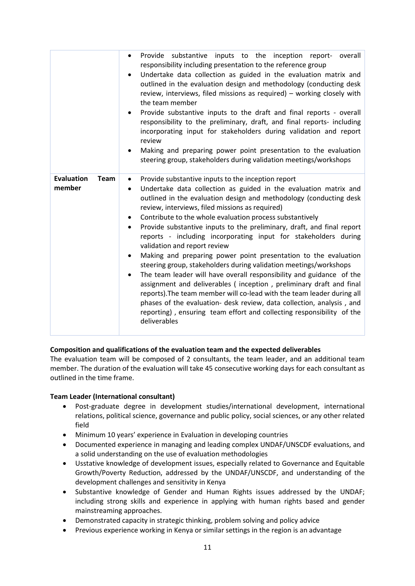|                                            | Provide substantive inputs to the inception report- overall<br>$\bullet$<br>responsibility including presentation to the reference group<br>Undertake data collection as guided in the evaluation matrix and<br>outlined in the evaluation design and methodology (conducting desk<br>review, interviews, filed missions as required) - working closely with<br>the team member<br>Provide substantive inputs to the draft and final reports - overall<br>responsibility to the preliminary, draft, and final reports- including<br>incorporating input for stakeholders during validation and report<br>review<br>Making and preparing power point presentation to the evaluation<br>steering group, stakeholders during validation meetings/workshops                                                                                                                                                                                                                                                                                                                         |
|--------------------------------------------|---------------------------------------------------------------------------------------------------------------------------------------------------------------------------------------------------------------------------------------------------------------------------------------------------------------------------------------------------------------------------------------------------------------------------------------------------------------------------------------------------------------------------------------------------------------------------------------------------------------------------------------------------------------------------------------------------------------------------------------------------------------------------------------------------------------------------------------------------------------------------------------------------------------------------------------------------------------------------------------------------------------------------------------------------------------------------------|
| <b>Evaluation</b><br><b>Team</b><br>member | Provide substantive inputs to the inception report<br>$\bullet$<br>Undertake data collection as guided in the evaluation matrix and<br>$\bullet$<br>outlined in the evaluation design and methodology (conducting desk<br>review, interviews, filed missions as required)<br>Contribute to the whole evaluation process substantively<br>Provide substantive inputs to the preliminary, draft, and final report<br>$\bullet$<br>reports - including incorporating input for stakeholders during<br>validation and report review<br>Making and preparing power point presentation to the evaluation<br>steering group, stakeholders during validation meetings/workshops<br>The team leader will have overall responsibility and guidance of the<br>$\bullet$<br>assignment and deliverables (inception, preliminary draft and final<br>reports). The team member will co-lead with the team leader during all<br>phases of the evaluation- desk review, data collection, analysis, and<br>reporting), ensuring team effort and collecting responsibility of the<br>deliverables |

# **Composition and qualifications of the evaluation team and the expected deliverables**

The evaluation team will be composed of 2 consultants, the team leader, and an additional team member. The duration of the evaluation will take 45 consecutive working days for each consultant as outlined in the time frame.

#### **Team Leader (International consultant)**

- Post-graduate degree in development studies/international development, international relations, political science, governance and public policy, social sciences, or any other related field
- Minimum 10 years' experience in Evaluation in developing countries
- Documented experience in managing and leading complex UNDAF/UNSCDF evaluations, and a solid understanding on the use of evaluation methodologies
- Usstative knowledge of development issues, especially related to Governance and Equitable Growth/Poverty Reduction, addressed by the UNDAF/UNSCDF, and understanding of the development challenges and sensitivity in Kenya
- Substantive knowledge of Gender and Human Rights issues addressed by the UNDAF; including strong skills and experience in applying with human rights based and gender mainstreaming approaches.
- Demonstrated capacity in strategic thinking, problem solving and policy advice
- Previous experience working in Kenya or similar settings in the region is an advantage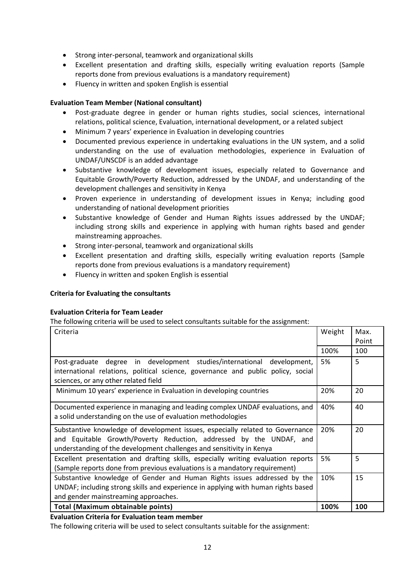- Strong inter-personal, teamwork and organizational skills
- Excellent presentation and drafting skills, especially writing evaluation reports (Sample reports done from previous evaluations is a mandatory requirement)
- Fluency in written and spoken English is essential

# **Evaluation Team Member (National consultant)**

- Post-graduate degree in gender or human rights studies, social sciences, international relations, political science, Evaluation, international development, or a related subject
- Minimum 7 years' experience in Evaluation in developing countries
- Documented previous experience in undertaking evaluations in the UN system, and a solid understanding on the use of evaluation methodologies, experience in Evaluation of UNDAF/UNSCDF is an added advantage
- Substantive knowledge of development issues, especially related to Governance and Equitable Growth/Poverty Reduction, addressed by the UNDAF, and understanding of the development challenges and sensitivity in Kenya
- Proven experience in understanding of development issues in Kenya; including good understanding of national development priorities
- Substantive knowledge of Gender and Human Rights issues addressed by the UNDAF; including strong skills and experience in applying with human rights based and gender mainstreaming approaches.
- Strong inter-personal, teamwork and organizational skills
- Excellent presentation and drafting skills, especially writing evaluation reports (Sample reports done from previous evaluations is a mandatory requirement)
- Fluency in written and spoken English is essential

# **Criteria for Evaluating the consultants**

#### **Evaluation Criteria for Team Leader**

The following criteria will be used to select consultants suitable for the assignment:

| Criteria                                                                                                                                                                                                                     | Weight | Max.  |
|------------------------------------------------------------------------------------------------------------------------------------------------------------------------------------------------------------------------------|--------|-------|
|                                                                                                                                                                                                                              |        | Point |
|                                                                                                                                                                                                                              | 100%   | 100   |
| Post-graduate degree in development studies/international development,<br>international relations, political science, governance and public policy, social                                                                   | 5%     | 5     |
| sciences, or any other related field                                                                                                                                                                                         |        |       |
| Minimum 10 years' experience in Evaluation in developing countries                                                                                                                                                           | 20%    | 20    |
| Documented experience in managing and leading complex UNDAF evaluations, and<br>a solid understanding on the use of evaluation methodologies                                                                                 | 40%    | 40    |
| Substantive knowledge of development issues, especially related to Governance<br>and Equitable Growth/Poverty Reduction, addressed by the UNDAF, and<br>understanding of the development challenges and sensitivity in Kenya | 20%    | 20    |
| Excellent presentation and drafting skills, especially writing evaluation reports<br>(Sample reports done from previous evaluations is a mandatory requirement)                                                              | 5%     | 5     |
| Substantive knowledge of Gender and Human Rights issues addressed by the<br>UNDAF; including strong skills and experience in applying with human rights based<br>and gender mainstreaming approaches.                        | 10%    | 15    |
| <b>Total (Maximum obtainable points)</b>                                                                                                                                                                                     | 100%   | 100   |

**Evaluation Criteria for Evaluation team member**

The following criteria will be used to select consultants suitable for the assignment: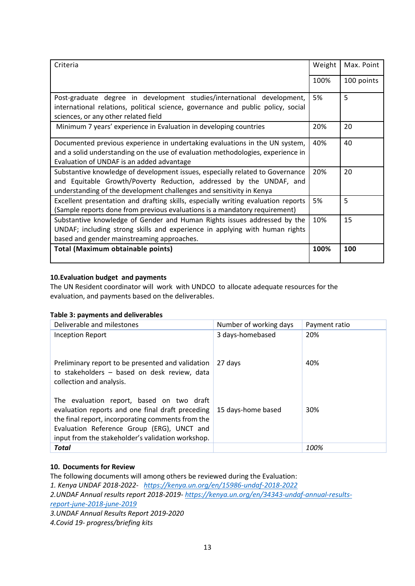| Criteria                                                                                                                                                                                                                     | Weight | Max. Point |
|------------------------------------------------------------------------------------------------------------------------------------------------------------------------------------------------------------------------------|--------|------------|
|                                                                                                                                                                                                                              | 100%   | 100 points |
| Post-graduate degree in development studies/international development,<br>international relations, political science, governance and public policy, social<br>sciences, or any other related field                           | 5%     | 5          |
| Minimum 7 years' experience in Evaluation in developing countries                                                                                                                                                            | 20%    | 20         |
| Documented previous experience in undertaking evaluations in the UN system,<br>and a solid understanding on the use of evaluation methodologies, experience in<br>Evaluation of UNDAF is an added advantage                  | 40%    | 40         |
| Substantive knowledge of development issues, especially related to Governance<br>and Equitable Growth/Poverty Reduction, addressed by the UNDAF, and<br>understanding of the development challenges and sensitivity in Kenya | 20%    | 20         |
| Excellent presentation and drafting skills, especially writing evaluation reports<br>(Sample reports done from previous evaluations is a mandatory requirement)                                                              | 5%     | 5          |
| Substantive knowledge of Gender and Human Rights issues addressed by the<br>UNDAF; including strong skills and experience in applying with human rights<br>based and gender mainstreaming approaches.                        | 10%    | 15         |
| <b>Total (Maximum obtainable points)</b>                                                                                                                                                                                     | 100%   | 100        |

# **10.Evaluation budget and payments**

The UN Resident coordinator will work with UNDCO to allocate adequate resources for the evaluation, and payments based on the deliverables.

#### **Table 3: payments and deliverables**

| Deliverable and milestones                                                                                                                                                                                                                            | Number of working days | Payment ratio |
|-------------------------------------------------------------------------------------------------------------------------------------------------------------------------------------------------------------------------------------------------------|------------------------|---------------|
| <b>Inception Report</b>                                                                                                                                                                                                                               | 3 days-homebased       | 20%           |
| Preliminary report to be presented and validation<br>to stakeholders - based on desk review, data<br>collection and analysis.                                                                                                                         | 27 days                | 40%           |
| The evaluation report, based on two draft<br>evaluation reports and one final draft preceding<br>the final report, incorporating comments from the<br>Evaluation Reference Group (ERG), UNCT and<br>input from the stakeholder's validation workshop. | 15 days-home based     | 30%           |
| <b>Total</b>                                                                                                                                                                                                                                          |                        | 100%          |

# **10. Documents for Review**

The following documents will among others be reviewed during the Evaluation: *1. Kenya UNDAF 2018-2022- <https://kenya.un.org/en/15986-undaf-2018-2022> 2.UNDAF Annual results report 2018-2019- [https://kenya.un.org/en/34343-undaf-annual-results](https://kenya.un.org/en/34343-undaf-annual-results-report-june-2018-june-2019)[report-june-2018-june-2019](https://kenya.un.org/en/34343-undaf-annual-results-report-june-2018-june-2019) 3.UNDAF Annual Results Report 2019-2020 4.Covid 19- progress/briefing kits*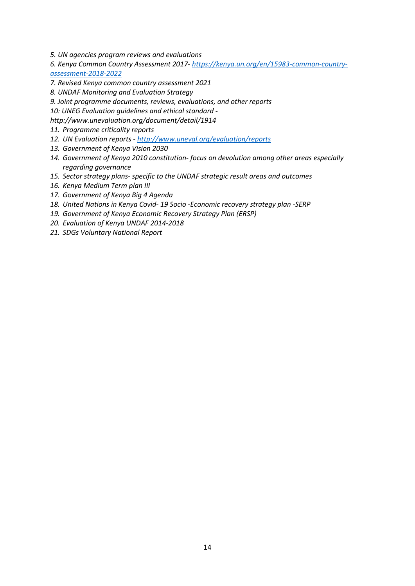- *5. UN agencies program reviews and evaluations*
- *6. Kenya Common Country Assessment 2017- [https://kenya.un.org/en/15983-common-country](https://kenya.un.org/en/15983-common-country-assessment-2018-2022)[assessment-2018-2022](https://kenya.un.org/en/15983-common-country-assessment-2018-2022)*
- *7. Revised Kenya common country assessment 2021*
- *8. UNDAF Monitoring and Evaluation Strategy*
- *9. Joint programme documents, reviews, evaluations, and other reports*

*10: UNEG Evaluation guidelines and ethical standard -*

- *http://www.unevaluation.org/document/detail/1914*
- *11. Programme criticality reports*
- *12. UN Evaluation reports - <http://www.uneval.org/evaluation/reports>*
- *13. Government of Kenya Vision 2030*
- *14. Government of Kenya 2010 constitution- focus on devolution among other areas especially regarding governance*
- *15. Sector strategy plans- specific to the UNDAF strategic result areas and outcomes*
- *16. Kenya Medium Term plan III*
- *17. Government of Kenya Big 4 Agenda*
- *18. United Nations in Kenya Covid- 19 Socio -Economic recovery strategy plan -SERP*
- *19. Government of Kenya Economic Recovery Strategy Plan (ERSP)*
- *20. Evaluation of Kenya UNDAF 2014-2018*
- *21. SDGs Voluntary National Report*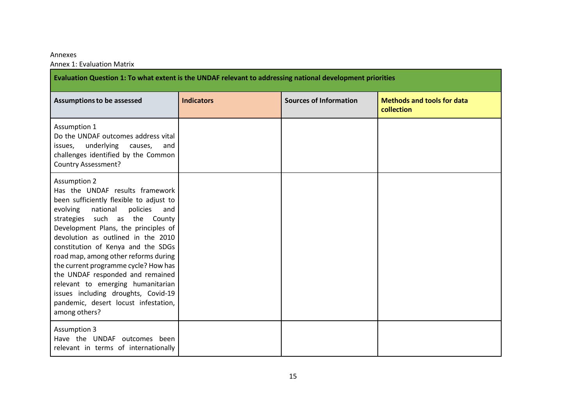#### Annexes

Annex 1: Evaluation Matrix

| Evaluation Question 1: To what extent is the UNDAF relevant to addressing national development priorities                                                                                                                                                                                                                                                                                                                                                                                                                                                  |                   |                               |                                                 |  |
|------------------------------------------------------------------------------------------------------------------------------------------------------------------------------------------------------------------------------------------------------------------------------------------------------------------------------------------------------------------------------------------------------------------------------------------------------------------------------------------------------------------------------------------------------------|-------------------|-------------------------------|-------------------------------------------------|--|
| <b>Assumptions to be assessed</b>                                                                                                                                                                                                                                                                                                                                                                                                                                                                                                                          | <b>Indicators</b> | <b>Sources of Information</b> | <b>Methods and tools for data</b><br>collection |  |
| Assumption 1<br>Do the UNDAF outcomes address vital<br>underlying<br>issues,<br>causes,<br>and<br>challenges identified by the Common<br>Country Assessment?                                                                                                                                                                                                                                                                                                                                                                                               |                   |                               |                                                 |  |
| <b>Assumption 2</b><br>Has the UNDAF results framework<br>been sufficiently flexible to adjust to<br>national<br>evolving<br>policies<br>and<br>strategies such as the County<br>Development Plans, the principles of<br>devolution as outlined in the 2010<br>constitution of Kenya and the SDGs<br>road map, among other reforms during<br>the current programme cycle? How has<br>the UNDAF responded and remained<br>relevant to emerging humanitarian<br>issues including droughts, Covid-19<br>pandemic, desert locust infestation,<br>among others? |                   |                               |                                                 |  |
| <b>Assumption 3</b><br>Have the UNDAF outcomes been<br>relevant in terms of internationally                                                                                                                                                                                                                                                                                                                                                                                                                                                                |                   |                               |                                                 |  |

÷.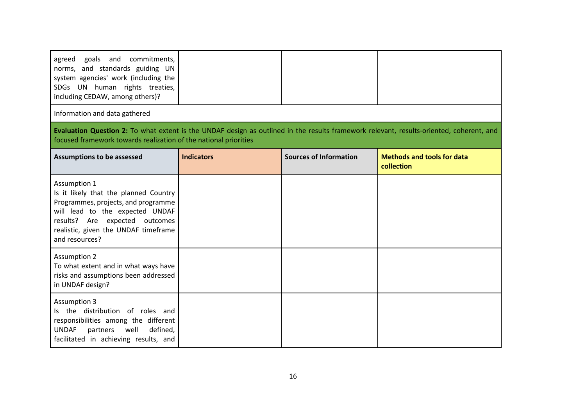| goals and commitments,<br>agreed<br>norms, and standards guiding UN<br>system agencies' work (including the<br>SDGs UN human rights treaties,<br>including CEDAW, among others)?                                            |                   |                               |                                                 |
|-----------------------------------------------------------------------------------------------------------------------------------------------------------------------------------------------------------------------------|-------------------|-------------------------------|-------------------------------------------------|
| Information and data gathered                                                                                                                                                                                               |                   |                               |                                                 |
| Evaluation Question 2: To what extent is the UNDAF design as outlined in the results framework relevant, results-oriented, coherent, and<br>focused framework towards realization of the national priorities                |                   |                               |                                                 |
| <b>Assumptions to be assessed</b>                                                                                                                                                                                           | <b>Indicators</b> | <b>Sources of Information</b> | <b>Methods and tools for data</b><br>collection |
| Assumption 1<br>Is it likely that the planned Country<br>Programmes, projects, and programme<br>will lead to the expected UNDAF<br>results? Are expected outcomes<br>realistic, given the UNDAF timeframe<br>and resources? |                   |                               |                                                 |
| <b>Assumption 2</b><br>To what extent and in what ways have<br>risks and assumptions been addressed<br>in UNDAF design?                                                                                                     |                   |                               |                                                 |
| <b>Assumption 3</b><br>Is the distribution of roles and<br>responsibilities among the different<br>well<br>defined,<br><b>UNDAF</b><br>partners<br>facilitated in achieving results, and                                    |                   |                               |                                                 |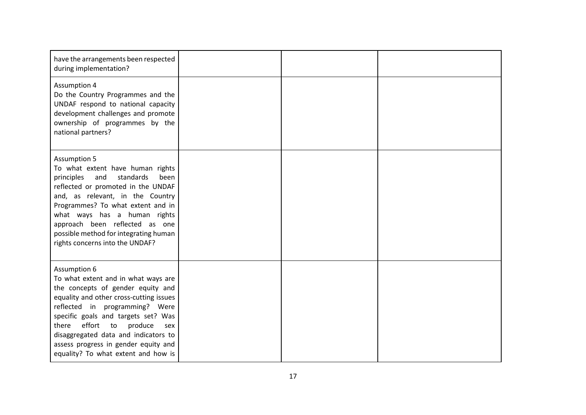| have the arrangements been respected<br>during implementation?                                                                                                                                                                                                                                                                                                                 |  |  |
|--------------------------------------------------------------------------------------------------------------------------------------------------------------------------------------------------------------------------------------------------------------------------------------------------------------------------------------------------------------------------------|--|--|
| <b>Assumption 4</b><br>Do the Country Programmes and the<br>UNDAF respond to national capacity<br>development challenges and promote<br>ownership of programmes by the<br>national partners?                                                                                                                                                                                   |  |  |
| <b>Assumption 5</b><br>To what extent have human rights<br>standards<br>principles<br>and<br>been<br>reflected or promoted in the UNDAF<br>and, as relevant, in the Country<br>Programmes? To what extent and in<br>what ways has a human rights<br>approach been reflected as one<br>possible method for integrating human<br>rights concerns into the UNDAF?                 |  |  |
| Assumption 6<br>To what extent and in what ways are<br>the concepts of gender equity and<br>equality and other cross-cutting issues<br>reflected in programming? Were<br>specific goals and targets set? Was<br>effort<br>there<br>produce<br>to<br>sex<br>disaggregated data and indicators to<br>assess progress in gender equity and<br>equality? To what extent and how is |  |  |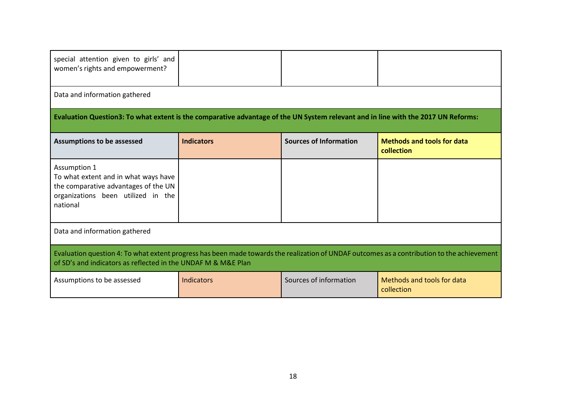| special attention given to girls' and<br>women's rights and empowerment?                                                                                                                                     |                   |                               |                                                 |  |
|--------------------------------------------------------------------------------------------------------------------------------------------------------------------------------------------------------------|-------------------|-------------------------------|-------------------------------------------------|--|
| Data and information gathered                                                                                                                                                                                |                   |                               |                                                 |  |
| Evaluation Question3: To what extent is the comparative advantage of the UN System relevant and in line with the 2017 UN Reforms:                                                                            |                   |                               |                                                 |  |
| <b>Assumptions to be assessed</b>                                                                                                                                                                            | <b>Indicators</b> | <b>Sources of Information</b> | <b>Methods and tools for data</b><br>collection |  |
| Assumption 1<br>To what extent and in what ways have<br>the comparative advantages of the UN<br>organizations been utilized in the<br>national                                                               |                   |                               |                                                 |  |
| Data and information gathered                                                                                                                                                                                |                   |                               |                                                 |  |
| Evaluation question 4: To what extent progress has been made towards the realization of UNDAF outcomes as a contribution to the achievement<br>of SD's and indicators as reflected in the UNDAF M & M&E Plan |                   |                               |                                                 |  |
| Assumptions to be assessed                                                                                                                                                                                   | Indicators        | Sources of information        | Methods and tools for data<br>collection        |  |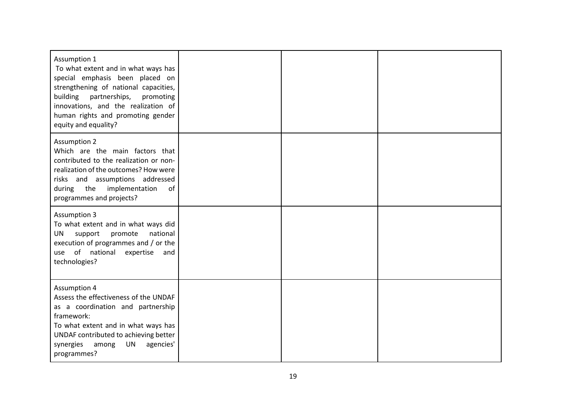| Assumption 1<br>To what extent and in what ways has<br>special emphasis been placed on<br>strengthening of national capacities,<br>building<br>partnerships,<br>promoting<br>innovations, and the realization of<br>human rights and promoting gender<br>equity and equality? |  |  |
|-------------------------------------------------------------------------------------------------------------------------------------------------------------------------------------------------------------------------------------------------------------------------------|--|--|
| <b>Assumption 2</b><br>Which are the main factors that<br>contributed to the realization or non-<br>realization of the outcomes? How were<br>risks and assumptions addressed<br>the<br>implementation<br>during<br>of<br>programmes and projects?                             |  |  |
| <b>Assumption 3</b><br>To what extent and in what ways did<br>support<br>promote<br>national<br>UN<br>execution of programmes and / or the<br>use of national<br>expertise<br>and<br>technologies?                                                                            |  |  |
| <b>Assumption 4</b><br>Assess the effectiveness of the UNDAF<br>as a coordination and partnership<br>framework:<br>To what extent and in what ways has<br>UNDAF contributed to achieving better<br><b>UN</b><br>agencies'<br>synergies among<br>programmes?                   |  |  |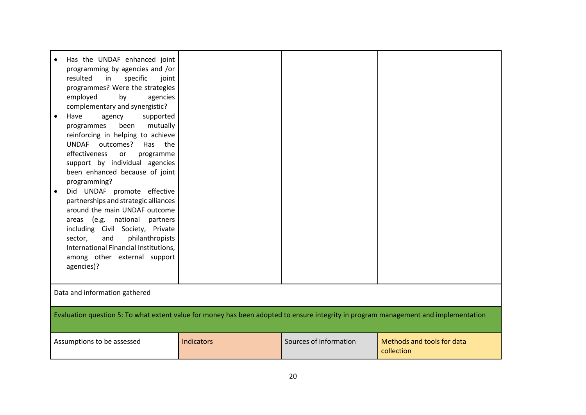| Has the UNDAF enhanced joint<br>programming by agencies and /or<br>resulted<br>specific<br>in<br>joint<br>programmes? Were the strategies<br>employed<br>by<br>agencies<br>complementary and synergistic?<br>Have<br>supported<br>agency<br>mutually<br>been<br>programmes<br>reinforcing in helping to achieve<br><b>UNDAF</b><br>outcomes?<br>Has the<br>effectiveness<br>or<br>programme<br>support by individual agencies<br>been enhanced because of joint<br>programming?<br>Did UNDAF promote effective<br>partnerships and strategic alliances<br>around the main UNDAF outcome<br>areas (e.g. national partners<br>including Civil Society, Private<br>philanthropists<br>sector,<br>and<br>International Financial Institutions,<br>among other external support<br>agencies)? |            |                        |                                          |  |  |  |  |  |
|------------------------------------------------------------------------------------------------------------------------------------------------------------------------------------------------------------------------------------------------------------------------------------------------------------------------------------------------------------------------------------------------------------------------------------------------------------------------------------------------------------------------------------------------------------------------------------------------------------------------------------------------------------------------------------------------------------------------------------------------------------------------------------------|------------|------------------------|------------------------------------------|--|--|--|--|--|
| Data and information gathered                                                                                                                                                                                                                                                                                                                                                                                                                                                                                                                                                                                                                                                                                                                                                            |            |                        |                                          |  |  |  |  |  |
| Evaluation question 5: To what extent value for money has been adopted to ensure integrity in program management and implementation                                                                                                                                                                                                                                                                                                                                                                                                                                                                                                                                                                                                                                                      |            |                        |                                          |  |  |  |  |  |
| Assumptions to be assessed                                                                                                                                                                                                                                                                                                                                                                                                                                                                                                                                                                                                                                                                                                                                                               | Indicators | Sources of information | Methods and tools for data<br>collection |  |  |  |  |  |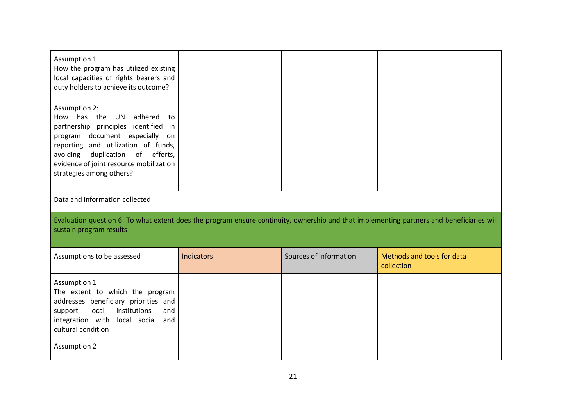| Assumption 1<br>How the program has utilized existing<br>local capacities of rights bearers and<br>duty holders to achieve its outcome?                                                                                                                                                                  |            |                        |                                          |  |  |  |  |  |
|----------------------------------------------------------------------------------------------------------------------------------------------------------------------------------------------------------------------------------------------------------------------------------------------------------|------------|------------------------|------------------------------------------|--|--|--|--|--|
| <b>Assumption 2:</b><br>adhered<br>How has<br>the<br>UN<br>to<br>partnership principles identified<br>in<br>program document especially<br>on<br>reporting and utilization of funds,<br>duplication<br>of<br>efforts,<br>avoiding<br>evidence of joint resource mobilization<br>strategies among others? |            |                        |                                          |  |  |  |  |  |
| Data and information collected                                                                                                                                                                                                                                                                           |            |                        |                                          |  |  |  |  |  |
| Evaluation question 6: To what extent does the program ensure continuity, ownership and that implementing partners and beneficiaries will<br>sustain program results                                                                                                                                     |            |                        |                                          |  |  |  |  |  |
| Assumptions to be assessed                                                                                                                                                                                                                                                                               | Indicators | Sources of information | Methods and tools for data<br>collection |  |  |  |  |  |
| Assumption 1<br>The extent to which the program<br>addresses beneficiary priorities and<br>local<br>institutions<br>and<br>support<br>integration with<br>local social and<br>cultural condition                                                                                                         |            |                        |                                          |  |  |  |  |  |
| <b>Assumption 2</b>                                                                                                                                                                                                                                                                                      |            |                        |                                          |  |  |  |  |  |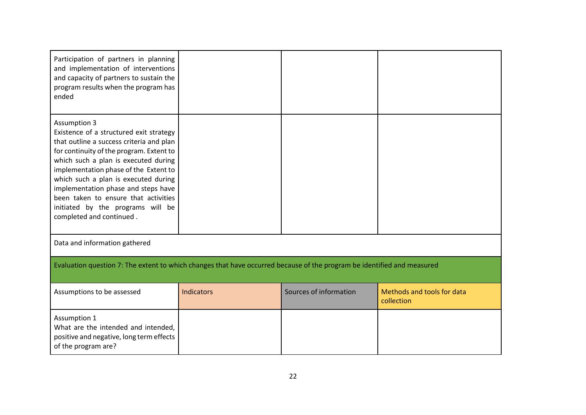| Participation of partners in planning<br>and implementation of interventions<br>and capacity of partners to sustain the<br>program results when the program has<br>ended                                                                                                                                                                                                                                                        |                   |                        |                                          |  |  |  |  |  |
|---------------------------------------------------------------------------------------------------------------------------------------------------------------------------------------------------------------------------------------------------------------------------------------------------------------------------------------------------------------------------------------------------------------------------------|-------------------|------------------------|------------------------------------------|--|--|--|--|--|
| <b>Assumption 3</b><br>Existence of a structured exit strategy<br>that outline a success criteria and plan<br>for continuity of the program. Extent to<br>which such a plan is executed during<br>implementation phase of the Extent to<br>which such a plan is executed during<br>implementation phase and steps have<br>been taken to ensure that activities<br>initiated by the programs will be<br>completed and continued. |                   |                        |                                          |  |  |  |  |  |
| Data and information gathered                                                                                                                                                                                                                                                                                                                                                                                                   |                   |                        |                                          |  |  |  |  |  |
| Evaluation question 7: The extent to which changes that have occurred because of the program be identified and measured                                                                                                                                                                                                                                                                                                         |                   |                        |                                          |  |  |  |  |  |
| Assumptions to be assessed                                                                                                                                                                                                                                                                                                                                                                                                      | <b>Indicators</b> | Sources of information | Methods and tools for data<br>collection |  |  |  |  |  |
| Assumption 1<br>What are the intended and intended,<br>positive and negative, long term effects<br>of the program are?                                                                                                                                                                                                                                                                                                          |                   |                        |                                          |  |  |  |  |  |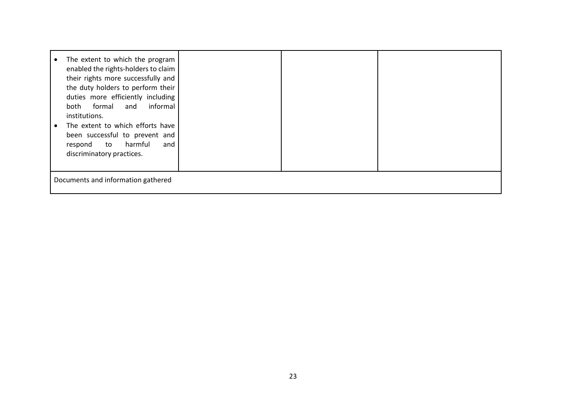| The extent to which the program<br>enabled the rights-holders to claim<br>their rights more successfully and<br>the duty holders to perform their<br>duties more efficiently including<br>informal<br>formal<br>and<br>both<br>institutions.<br>The extent to which efforts have<br>been successful to prevent and<br>harmful<br>and<br>respond<br>to<br>discriminatory practices. |  |  |  |  |  |  |  |
|------------------------------------------------------------------------------------------------------------------------------------------------------------------------------------------------------------------------------------------------------------------------------------------------------------------------------------------------------------------------------------|--|--|--|--|--|--|--|
| Documents and information gathered                                                                                                                                                                                                                                                                                                                                                 |  |  |  |  |  |  |  |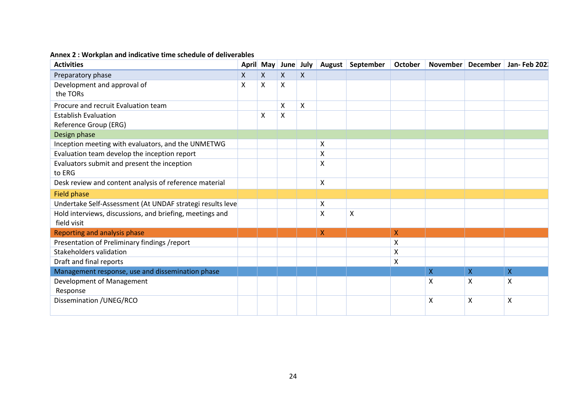# **Annex 2 : Workplan and indicative time schedule of deliverables**

| <b>Activities</b>                                         |   |              | April May June July |                    | August                    | September | October      |              | November December | Jan- Feb 202              |
|-----------------------------------------------------------|---|--------------|---------------------|--------------------|---------------------------|-----------|--------------|--------------|-------------------|---------------------------|
| Preparatory phase                                         | X | $\mathsf{X}$ | X                   | $\pmb{\mathsf{X}}$ |                           |           |              |              |                   |                           |
| Development and approval of<br>X                          |   | X            | X                   |                    |                           |           |              |              |                   |                           |
| the TORs                                                  |   |              |                     |                    |                           |           |              |              |                   |                           |
| Procure and recruit Evaluation team                       |   |              | X                   | X                  |                           |           |              |              |                   |                           |
| <b>Establish Evaluation</b>                               |   | X            | X                   |                    |                           |           |              |              |                   |                           |
| Reference Group (ERG)                                     |   |              |                     |                    |                           |           |              |              |                   |                           |
| Design phase                                              |   |              |                     |                    |                           |           |              |              |                   |                           |
| Inception meeting with evaluators, and the UNMETWG        |   |              |                     |                    | X                         |           |              |              |                   |                           |
| Evaluation team develop the inception report              |   |              |                     |                    | X                         |           |              |              |                   |                           |
| Evaluators submit and present the inception               |   |              |                     |                    | $\times$                  |           |              |              |                   |                           |
| to ERG                                                    |   |              |                     |                    |                           |           |              |              |                   |                           |
| Desk review and content analysis of reference material    |   |              |                     |                    | X                         |           |              |              |                   |                           |
| <b>Field phase</b>                                        |   |              |                     |                    |                           |           |              |              |                   |                           |
| Undertake Self-Assessment (At UNDAF strategi results leve |   |              |                     |                    | $\boldsymbol{\mathsf{X}}$ |           |              |              |                   |                           |
| Hold interviews, discussions, and briefing, meetings and  |   |              |                     |                    | X                         | X         |              |              |                   |                           |
| field visit                                               |   |              |                     |                    |                           |           |              |              |                   |                           |
| Reporting and analysis phase                              |   |              |                     |                    | X                         |           | $\mathsf{X}$ |              |                   |                           |
| Presentation of Preliminary findings /report              |   |              |                     |                    |                           |           | Χ            |              |                   |                           |
| Stakeholders validation                                   |   |              |                     |                    |                           |           | Χ            |              |                   |                           |
| Draft and final reports                                   |   |              |                     |                    |                           |           | Χ            |              |                   |                           |
| Management response, use and dissemination phase          |   |              |                     |                    |                           |           |              | $\mathsf{X}$ | $\mathsf{X}$      | $\overline{X}$            |
| Development of Management                                 |   |              |                     |                    |                           |           |              | Χ            | X                 | Χ                         |
| Response                                                  |   |              |                     |                    |                           |           |              |              |                   |                           |
| Dissemination / UNEG/RCO                                  |   |              |                     |                    |                           |           |              | Χ            | X                 | $\boldsymbol{\mathsf{X}}$ |
|                                                           |   |              |                     |                    |                           |           |              |              |                   |                           |